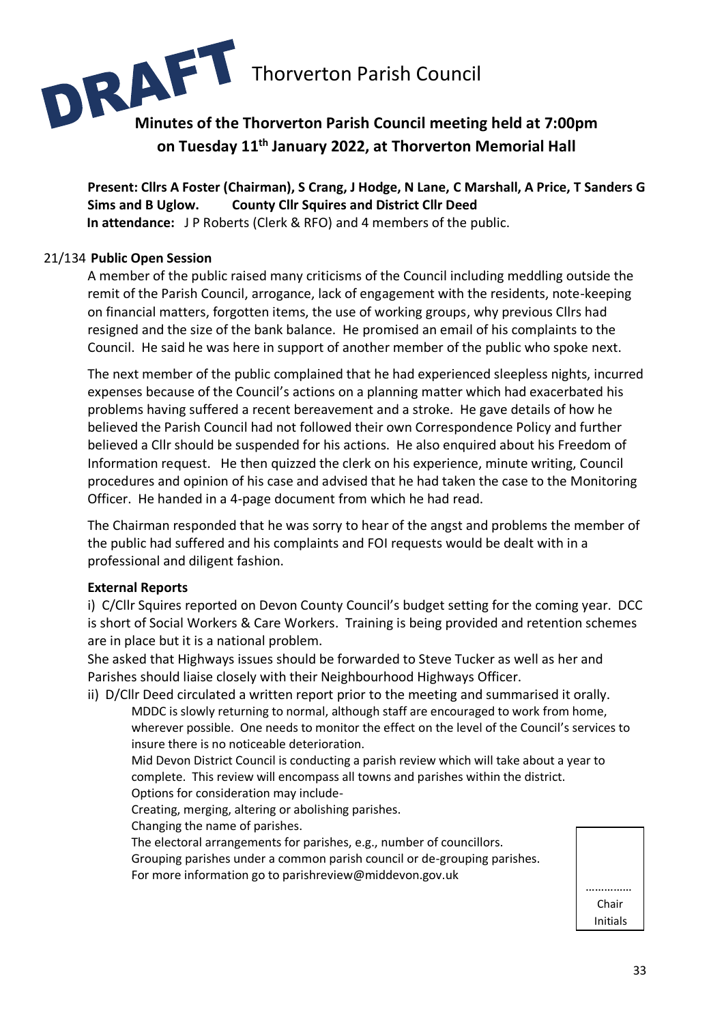

**Present: Cllrs A Foster (Chairman), S Crang, J Hodge, N Lane, C Marshall, A Price, T Sanders G Sims and B Uglow. County Cllr Squires and District Cllr Deed In attendance:** J P Roberts (Clerk & RFO) and 4 members of the public.

#### 21/134 **Public Open Session**

A member of the public raised many criticisms of the Council including meddling outside the remit of the Parish Council, arrogance, lack of engagement with the residents, note-keeping on financial matters, forgotten items, the use of working groups, why previous Cllrs had resigned and the size of the bank balance. He promised an email of his complaints to the Council. He said he was here in support of another member of the public who spoke next.

The next member of the public complained that he had experienced sleepless nights, incurred expenses because of the Council's actions on a planning matter which had exacerbated his problems having suffered a recent bereavement and a stroke. He gave details of how he believed the Parish Council had not followed their own Correspondence Policy and further believed a Cllr should be suspended for his actions. He also enquired about his Freedom of Information request. He then quizzed the clerk on his experience, minute writing, Council procedures and opinion of his case and advised that he had taken the case to the Monitoring Officer. He handed in a 4-page document from which he had read.

The Chairman responded that he was sorry to hear of the angst and problems the member of the public had suffered and his complaints and FOI requests would be dealt with in a professional and diligent fashion.

#### **External Reports**

i) C/Cllr Squires reported on Devon County Council's budget setting for the coming year. DCC is short of Social Workers & Care Workers. Training is being provided and retention schemes are in place but it is a national problem.

She asked that Highways issues should be forwarded to Steve Tucker as well as her and Parishes should liaise closely with their Neighbourhood Highways Officer.

ii) D/Cllr Deed circulated a written report prior to the meeting and summarised it orally. MDDC is slowly returning to normal, although staff are encouraged to work from home, wherever possible. One needs to monitor the effect on the level of the Council's services to insure there is no noticeable deterioration.

Mid Devon District Council is conducting a parish review which will take about a year to complete. This review will encompass all towns and parishes within the district. Options for consideration may include-

Creating, merging, altering or abolishing parishes.

Changing the name of parishes.

The electoral arrangements for parishes, e.g., number of councillors.

Grouping parishes under a common parish council or de-grouping parishes.

For more information go to parishreview@middevon.gov.uk

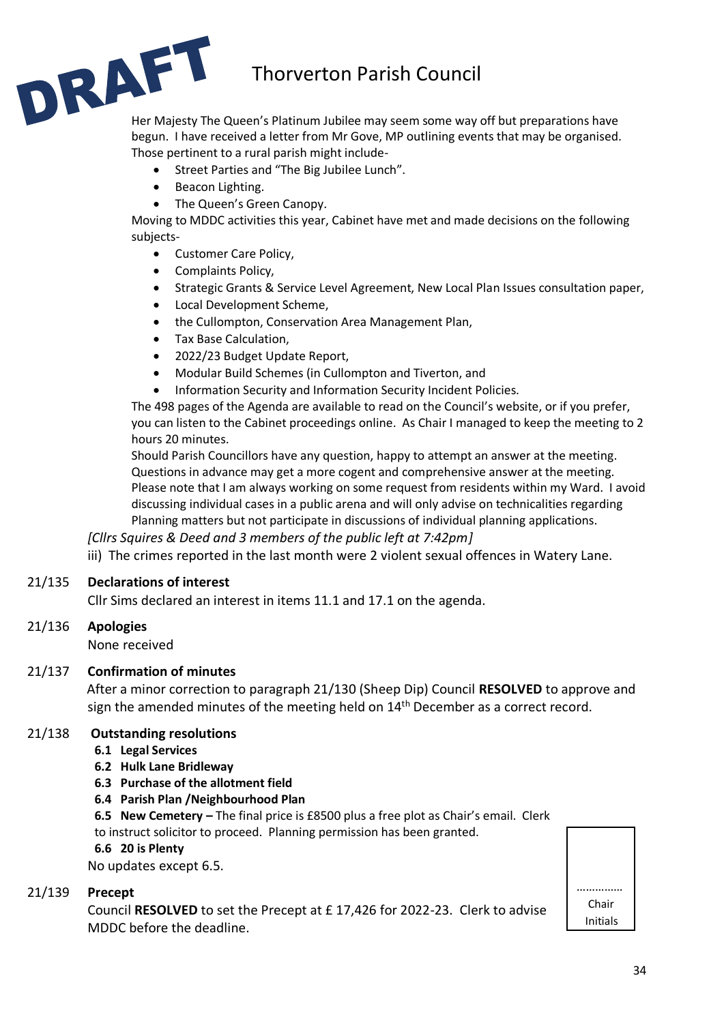# Thorverton Parish Council



begun. I have received a letter from Mr Gove, MP outlining events that may be organised. Those pertinent to a rural parish might include-

- Street Parties and "The Big Jubilee Lunch".
- Beacon Lighting.
- The Queen's Green Canopy.

Moving to MDDC activities this year, Cabinet have met and made decisions on the following subjects-

- Customer Care Policy,
- Complaints Policy,
- Strategic Grants & Service Level Agreement, New Local Plan Issues consultation paper,
- Local Development Scheme,
- the Cullompton, Conservation Area Management Plan,
- Tax Base Calculation,
- 2022/23 Budget Update Report,
- Modular Build Schemes (in Cullompton and Tiverton, and
- Information Security and Information Security Incident Policies.

The 498 pages of the Agenda are available to read on the Council's website, or if you prefer, you can listen to the Cabinet proceedings online. As Chair I managed to keep the meeting to 2 hours 20 minutes.

Should Parish Councillors have any question, happy to attempt an answer at the meeting. Questions in advance may get a more cogent and comprehensive answer at the meeting. Please note that I am always working on some request from residents within my Ward. I avoid discussing individual cases in a public arena and will only advise on technicalities regarding Planning matters but not participate in discussions of individual planning applications.

*[Cllrs Squires & Deed and 3 members of the public left at 7:42pm]* iii) The crimes reported in the last month were 2 violent sexual offences in Watery Lane.

# 21/135 **Declarations of interest**

Cllr Sims declared an interest in items 11.1 and 17.1 on the agenda.

# 21/136 **Apologies**

None received

# 21/137 **Confirmation of minutes**

After a minor correction to paragraph 21/130 (Sheep Dip) Council **RESOLVED** to approve and sign the amended minutes of the meeting held on 14<sup>th</sup> December as a correct record.

# 21/138 **Outstanding resolutions**

#### **6.1 Legal Services**

- **6.2 Hulk Lane Bridleway**
- **6.3 Purchase of the allotment field**

#### **6.4 Parish Plan /Neighbourhood Plan**

**6.5 New Cemetery –** The final price is £8500 plus a free plot as Chair's email. Clerk to instruct solicitor to proceed. Planning permission has been granted.

**6.6 20 is Plenty** 

No updates except 6.5.

#### 21/139 **Precept**

Council **RESOLVED** to set the Precept at £ 17,426 for 2022-23. Clerk to advise MDDC before the deadline.

| Chair           |
|-----------------|
| <b>Initials</b> |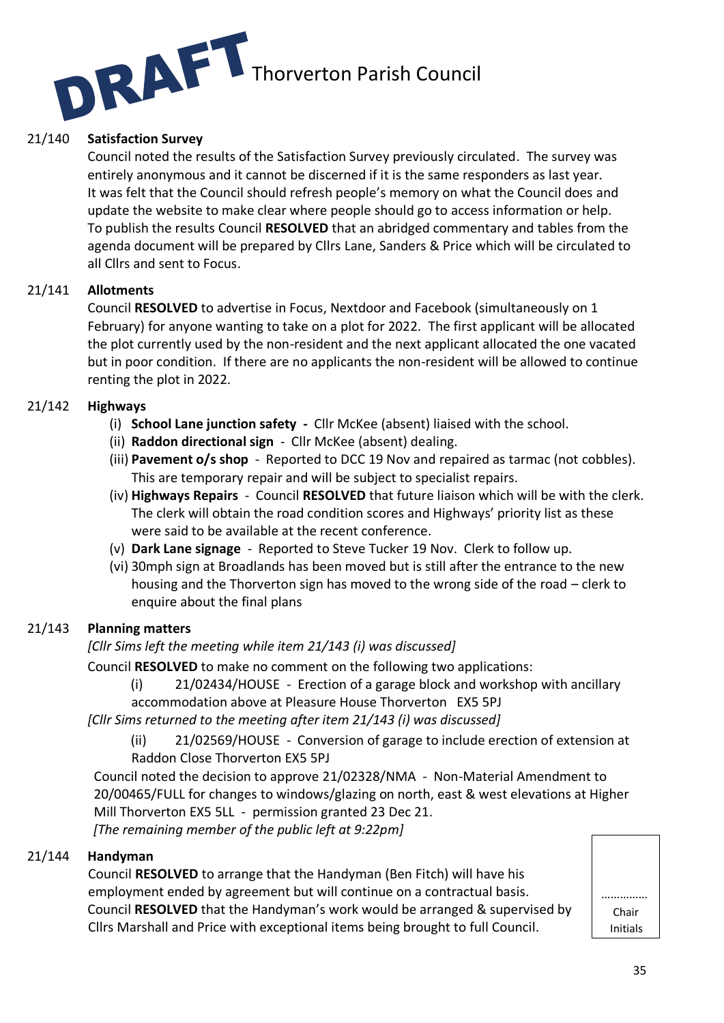

# 21/140 **Satisfaction Survey**

Council noted the results of the Satisfaction Survey previously circulated. The survey was entirely anonymous and it cannot be discerned if it is the same responders as last year. It was felt that the Council should refresh people's memory on what the Council does and update the website to make clear where people should go to access information or help. To publish the results Council **RESOLVED** that an abridged commentary and tables from the agenda document will be prepared by Cllrs Lane, Sanders & Price which will be circulated to all Cllrs and sent to Focus.

#### 21/141 **Allotments**

Council **RESOLVED** to advertise in Focus, Nextdoor and Facebook (simultaneously on 1 February) for anyone wanting to take on a plot for 2022. The first applicant will be allocated the plot currently used by the non-resident and the next applicant allocated the one vacated but in poor condition. If there are no applicants the non-resident will be allowed to continue renting the plot in 2022.

#### 21/142 **Highways**

- (i) **School Lane junction safety** Cllr McKee (absent) liaised with the school.
- (ii) **Raddon directional sign**  Cllr McKee (absent) dealing.
- (iii) **Pavement o/s shop**  Reported to DCC 19 Nov and repaired as tarmac (not cobbles). This are temporary repair and will be subject to specialist repairs.
- (iv) **Highways Repairs** Council **RESOLVED** that future liaison which will be with the clerk. The clerk will obtain the road condition scores and Highways' priority list as these were said to be available at the recent conference.
- (v) **Dark Lane signage** Reported to Steve Tucker 19 Nov. Clerk to follow up.
- (vi) 30mph sign at Broadlands has been moved but is still after the entrance to the new housing and the Thorverton sign has moved to the wrong side of the road – clerk to enquire about the final plans

# 21/143 **Planning matters**

# *[Cllr Sims left the meeting while item 21/143 (i) was discussed]*

Council **RESOLVED** to make no comment on the following two applications:

(i) 21/02434/HOUSE - Erection of a garage block and workshop with ancillary accommodation above at Pleasure House Thorverton EX5 5PJ

*[Cllr Sims returned to the meeting after item 21/143 (i) was discussed]*

(ii) 21/02569/HOUSE - Conversion of garage to include erection of extension at

Raddon Close Thorverton EX5 5PJ

Council noted the decision to approve 21/02328/NMA - Non-Material Amendment to 20/00465/FULL for changes to windows/glazing on north, east & west elevations at Higher Mill Thorverton EX5 5LL - permission granted 23 Dec 21.

*[The remaining member of the public left at 9:22pm]*

# 21/144 **Handyman**

Council **RESOLVED** to arrange that the Handyman (Ben Fitch) will have his employment ended by agreement but will continue on a contractual basis. Council **RESOLVED** that the Handyman's work would be arranged & supervised by Cllrs Marshall and Price with exceptional items being brought to full Council.

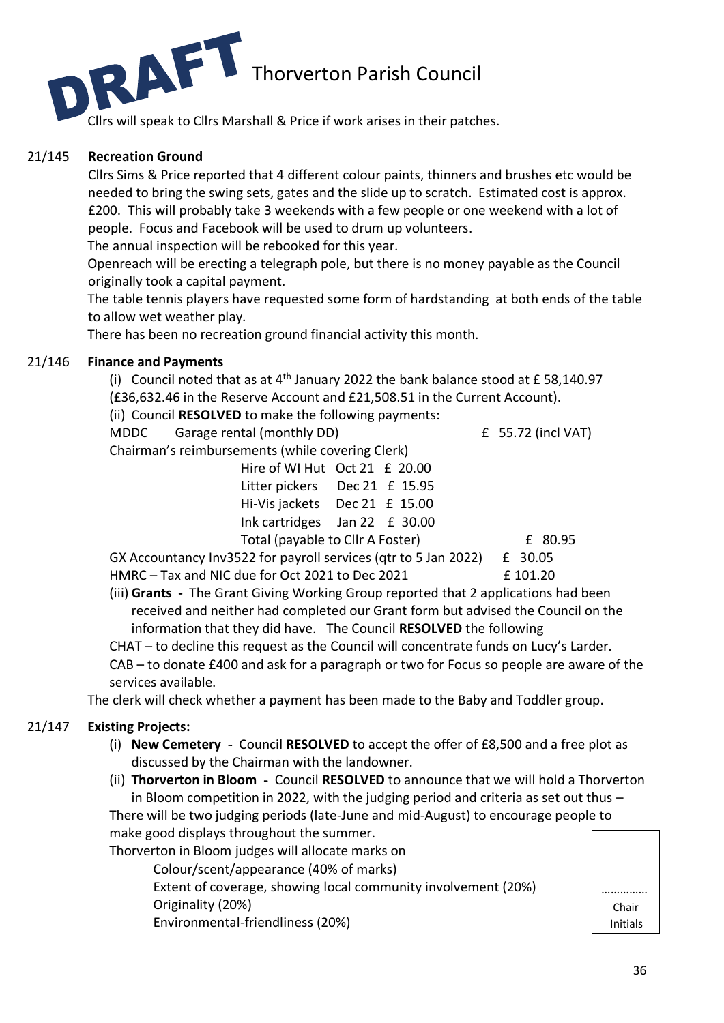

Cllrs will speak to Cllrs Marshall & Price if work arises in their patches.

# 21/145 **Recreation Ground**

Cllrs Sims & Price reported that 4 different colour paints, thinners and brushes etc would be needed to bring the swing sets, gates and the slide up to scratch. Estimated cost is approx. £200. This will probably take 3 weekends with a few people or one weekend with a lot of people. Focus and Facebook will be used to drum up volunteers.

The annual inspection will be rebooked for this year.

Openreach will be erecting a telegraph pole, but there is no money payable as the Council originally took a capital payment.

The table tennis players have requested some form of hardstanding at both ends of the table to allow wet weather play.

There has been no recreation ground financial activity this month.

# 21/146 **Finance and Payments**

(i) Council noted that as at  $4<sup>th</sup>$  January 2022 the bank balance stood at £58,140.97 (£36,632.46 in the Reserve Account and £21,508.51 in the Current Account).

(ii) Council **RESOLVED** to make the following payments:

MDDC Garage rental (monthly DD) £ 55.72 (incl VAT)

Chairman's reimbursements (while covering Clerk)

|                                  | Hire of WI Hut Oct 21 £ 20.00     |  |  |  |  |  |         |
|----------------------------------|-----------------------------------|--|--|--|--|--|---------|
|                                  | Litter pickers Dec 21 £ 15.95     |  |  |  |  |  |         |
|                                  | Hi-Vis jackets Dec 21 £ 15.00     |  |  |  |  |  |         |
|                                  | Ink cartridges Jan 22 $\pm$ 30.00 |  |  |  |  |  |         |
| Total (payable to Cllr A Foster) |                                   |  |  |  |  |  | £ 80.95 |

GX Accountancy Inv3522 for payroll services (qtr to 5 Jan 2022) £ 30.05 HMRC – Tax and NIC due for Oct 2021 to Dec 2021 **E** 101.20

(iii) **Grants -** The Grant Giving Working Group reported that 2 applications had been received and neither had completed our Grant form but advised the Council on the information that they did have. The Council **RESOLVED** the following

CHAT – to decline this request as the Council will concentrate funds on Lucy's Larder. CAB – to donate £400 and ask for a paragraph or two for Focus so people are aware of the services available.

The clerk will check whether a payment has been made to the Baby and Toddler group.

# 21/147 **Existing Projects:**

- (i) **New Cemetery** Council **RESOLVED** to accept the offer of £8,500 and a free plot as discussed by the Chairman with the landowner.
- (ii) **Thorverton in Bloom** Council **RESOLVED** to announce that we will hold a Thorverton in Bloom competition in 2022, with the judging period and criteria as set out thus – There will be two judging periods (late-June and mid-August) to encourage people to make good displays throughout the summer.

Thorverton in Bloom judges will allocate marks on

Colour/scent/appearance (40% of marks) Extent of coverage, showing local community involvement (20%) Originality (20%)

Environmental-friendliness (20%)

| Chair    |  |
|----------|--|
| Initials |  |